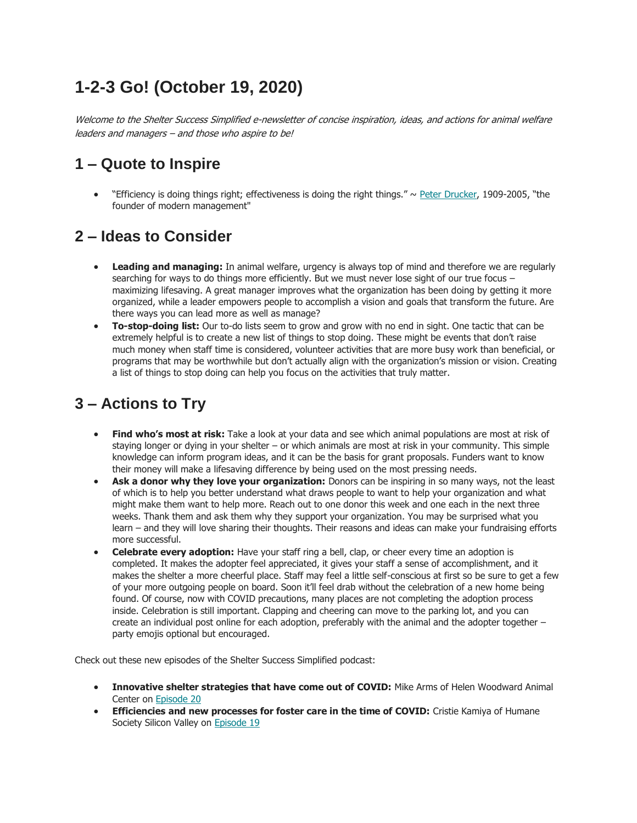## **1-2-3 Go! (October 19, 2020)**

Welcome to the Shelter Success Simplified e-newsletter of concise inspiration, ideas, and actions for animal welfare leaders and managers – and those who aspire to be!

## **1 – Quote to Inspire**

"Efficiency is doing things right; effectiveness is doing the right things."  $\sim$  [Peter Drucker,](mailto:https://en.wikipedia.org/wiki/Peter_Drucker) 1909-2005, "the founder of modern management"

## **2 – Ideas to Consider**

- **Leading and managing:** In animal welfare, urgency is always top of mind and therefore we are regularly searching for ways to do things more efficiently. But we must never lose sight of our true focus maximizing lifesaving. A great manager improves what the organization has been doing by getting it more organized, while a leader empowers people to accomplish a vision and goals that transform the future. Are there ways you can lead more as well as manage?
- **To-stop-doing list:** Our to-do lists seem to grow and grow with no end in sight. One tactic that can be extremely helpful is to create a new list of things to stop doing. These might be events that don't raise much money when staff time is considered, volunteer activities that are more busy work than beneficial, or programs that may be worthwhile but don't actually align with the organization's mission or vision. Creating a list of things to stop doing can help you focus on the activities that truly matter.

## **3 – Actions to Try**

- **Find who's most at risk:** Take a look at your data and see which animal populations are most at risk of staying longer or dying in your shelter – or which animals are most at risk in your community. This simple knowledge can inform program ideas, and it can be the basis for grant proposals. Funders want to know their money will make a lifesaving difference by being used on the most pressing needs.
- **Ask a donor why they love your organization:** Donors can be inspiring in so many ways, not the least of which is to help you better understand what draws people to want to help your organization and what might make them want to help more. Reach out to one donor this week and one each in the next three weeks. Thank them and ask them why they support your organization. You may be surprised what you learn – and they will love sharing their thoughts. Their reasons and ideas can make your fundraising efforts more successful.
- **Celebrate every adoption:** Have your staff ring a bell, clap, or cheer every time an adoption is completed. It makes the adopter feel appreciated, it gives your staff a sense of accomplishment, and it makes the shelter a more cheerful place. Staff may feel a little self-conscious at first so be sure to get a few of your more outgoing people on board. Soon it'll feel drab without the celebration of a new home being found. Of course, now with COVID precautions, many places are not completing the adoption process inside. Celebration is still important. Clapping and cheering can move to the parking lot, and you can create an individual post online for each adoption, preferably with the animal and the adopter together – party emojis optional but encouraged.

Check out these new episodes of the Shelter Success Simplified podcast:

- **Innovative shelter strategies that have come out of COVID:** Mike Arms of Helen Woodward Animal Center on [Episode 20](https://humanenetwork.us11.list-manage.com/track/click?u=dfa1d28456c119dd1d7d75735&id=963a88c89a&e=ed9b029c42)
- **Efficiencies and new processes for foster care in the time of COVID:** Cristie Kamiya of Humane Society Silicon Valley on [Episode 19](https://humanenetwork.us11.list-manage.com/track/click?u=dfa1d28456c119dd1d7d75735&id=9e13329802&e=ed9b029c42)